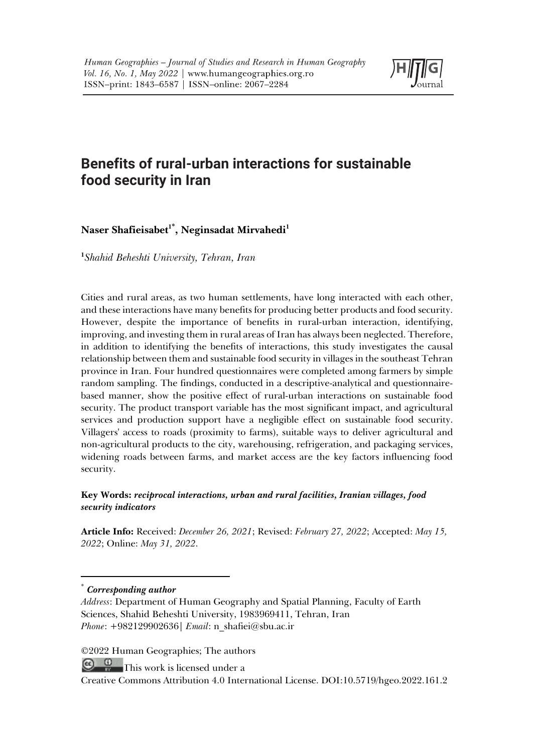

# **Benefits of rural-urban interactions for sustainable food security in Iran**

# $\mathbf{N}$ aser Shafieisabet<sup>1\*</sup>, Neginsadat Mirvahedi<sup>1</sup>

**1** *Shahid Beheshti University, Tehran, Iran*

Cities and rural areas, as two human settlements, have long interacted with each other, and these interactions have many benefits for producing better products and food security. However, despite the importance of benefits in rural-urban interaction, identifying, improving, and investing them in rural areas of Iran has always been neglected. Therefore, in addition to identifying the benefits of interactions, this study investigates the causal relationship between them and sustainable food security in villages in the southeast Tehran province in Iran. Four hundred questionnaires were completed among farmers by simple random sampling. The findings, conducted in a descriptive-analytical and questionnairebased manner, show the positive effect of rural-urban interactions on sustainable food security. The product transport variable has the most significant impact, and agricultural services and production support have a negligible effect on sustainable food security. Villagers' access to roads (proximity to farms), suitable ways to deliver agricultural and non-agricultural products to the city, warehousing, refrigeration, and packaging services, widening roads between farms, and market access are the key factors influencing food security.

## **Key Words:** *reciprocal interactions, urban and rural facilities, Iranian villages, food security indicators*

**Article Info:** Received: *December 26, 2021*; Revised: *February 27, 2022*; Accepted: *May 15, 2022*; Online: *May 31, 2022*.

#### \* *Corresponding author*

*Address*: Department of Human Geography and Spatial Planning, Faculty of Earth Sciences, Shahid Beheshti University, 1983969411, Tehran, Iran *Phone*: +982129902636| *Email*: n\_shafiei@sbu.ac.ir

©2022 Human Geographies; The authors

 $\circ$   $\circ$ This work is licensed under a

Creative Commons Attribution 4.0 International License. DOI:10.5719/hgeo.2022.161.2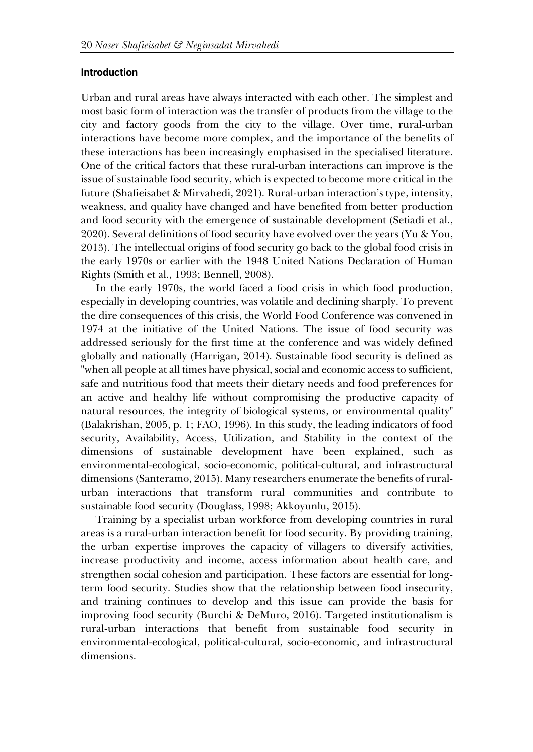#### **Introduction**

Urban and rural areas have always interacted with each other. The simplest and most basic form of interaction was the transfer of products from the village to the city and factory goods from the city to the village. Over time, rural-urban interactions have become more complex, and the importance of the benefits of these interactions has been increasingly emphasised in the specialised literature. One of the critical factors that these rural-urban interactions can improve is the issue of sustainable food security, which is expected to become more critical in the future (Shafieisabet & Mirvahedi, 2021). Rural-urban interaction's type, intensity, weakness, and quality have changed and have benefited from better production and food security with the emergence of sustainable development (Setiadi et al., 2020). Several definitions of food security have evolved over the years (Yu & You, 2013). The intellectual origins of food security go back to the global food crisis in the early 1970s or earlier with the 1948 United Nations Declaration of Human Rights (Smith et al., 1993; Bennell, 2008).

In the early 1970s, the world faced a food crisis in which food production, especially in developing countries, was volatile and declining sharply. To prevent the dire consequences of this crisis, the World Food Conference was convened in 1974 at the initiative of the United Nations. The issue of food security was addressed seriously for the first time at the conference and was widely defined globally and nationally (Harrigan, 2014). Sustainable food security is defined as "when all people at all times have physical, social and economic access to sufficient, safe and nutritious food that meets their dietary needs and food preferences for an active and healthy life without compromising the productive capacity of natural resources, the integrity of biological systems, or environmental quality" (Balakrishan, 2005, p. 1; FAO, 1996). In this study, the leading indicators of food security, Availability, Access, Utilization, and Stability in the context of the dimensions of sustainable development have been explained, such as environmental-ecological, socio-economic, political-cultural, and infrastructural dimensions (Santeramo, 2015). Many researchers enumerate the benefits of ruralurban interactions that transform rural communities and contribute to sustainable food security (Douglass, 1998; Akkoyunlu, 2015).

Training by a specialist urban workforce from developing countries in rural areas is a rural-urban interaction benefit for food security. By providing training, the urban expertise improves the capacity of villagers to diversify activities, increase productivity and income, access information about health care, and strengthen social cohesion and participation. These factors are essential for longterm food security. Studies show that the relationship between food insecurity, and training continues to develop and this issue can provide the basis for improving food security (Burchi & DeMuro, 2016). Targeted institutionalism is rural-urban interactions that benefit from sustainable food security in environmental-ecological, political-cultural, socio-economic, and infrastructural dimensions.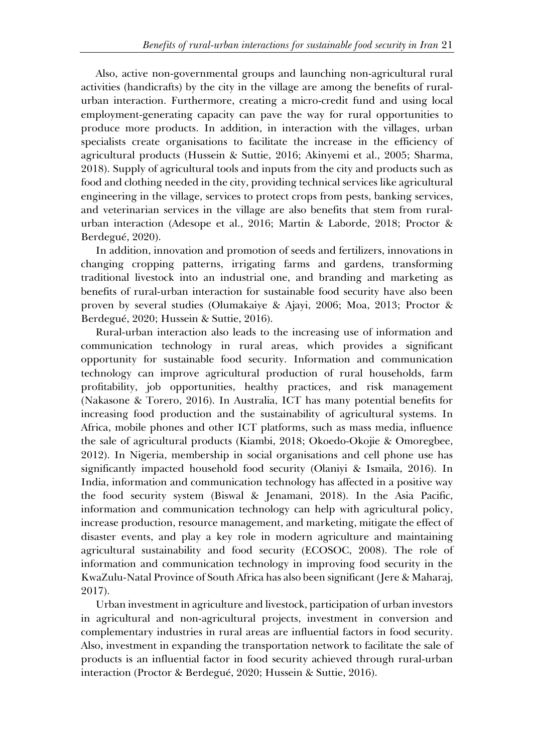Also, active non-governmental groups and launching non-agricultural rural activities (handicrafts) by the city in the village are among the benefits of ruralurban interaction. Furthermore, creating a micro-credit fund and using local employment-generating capacity can pave the way for rural opportunities to produce more products. In addition, in interaction with the villages, urban specialists create organisations to facilitate the increase in the efficiency of agricultural products (Hussein & Suttie, 2016; Akinyemi et al., 2005; Sharma, 2018). Supply of agricultural tools and inputs from the city and products such as food and clothing needed in the city, providing technical services like agricultural engineering in the village, services to protect crops from pests, banking services, and veterinarian services in the village are also benefits that stem from ruralurban interaction (Adesope et al., 2016; Martin & Laborde, 2018; Proctor & Berdegué, 2020).

In addition, innovation and promotion of seeds and fertilizers, innovations in changing cropping patterns, irrigating farms and gardens, transforming traditional livestock into an industrial one, and branding and marketing as benefits of rural-urban interaction for sustainable food security have also been proven by several studies (Olumakaiye & Ajayi, 2006; Moa, 2013; Proctor & Berdegué, 2020; Hussein & Suttie, 2016).

Rural-urban interaction also leads to the increasing use of information and communication technology in rural areas, which provides a significant opportunity for sustainable food security. Information and communication technology can improve agricultural production of rural households, farm profitability, job opportunities, healthy practices, and risk management (Nakasone & Torero, 2016). In Australia, ICT has many potential benefits for increasing food production and the sustainability of agricultural systems. In Africa, mobile phones and other ICT platforms, such as mass media, influence the sale of agricultural products (Kiambi, 2018; Okoedo-Okojie & Omoregbee, 2012). In Nigeria, membership in social organisations and cell phone use has significantly impacted household food security (Olaniyi & Ismaila, 2016). In India, information and communication technology has affected in a positive way the food security system (Biswal & Jenamani, 2018). In the Asia Pacific, information and communication technology can help with agricultural policy, increase production, resource management, and marketing, mitigate the effect of disaster events, and play a key role in modern agriculture and maintaining agricultural sustainability and food security (ECOSOC, 2008). The role of information and communication technology in improving food security in the KwaZulu-Natal Province of South Africa has also been significant (Jere & Maharaj, 2017).

Urban investment in agriculture and livestock, participation of urban investors in agricultural and non-agricultural projects, investment in conversion and complementary industries in rural areas are influential factors in food security. Also, investment in expanding the transportation network to facilitate the sale of products is an influential factor in food security achieved through rural-urban interaction (Proctor & Berdegué, 2020; Hussein & Suttie, 2016).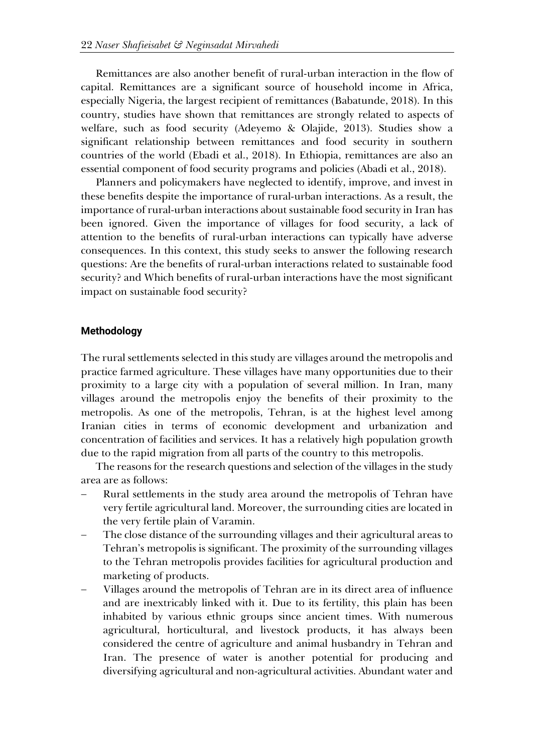Remittances are also another benefit of rural-urban interaction in the flow of capital. Remittances are a significant source of household income in Africa, especially Nigeria, the largest recipient of remittances (Babatunde, 2018). In this country, studies have shown that remittances are strongly related to aspects of welfare, such as food security (Adeyemo & Olajide, 2013). Studies show a significant relationship between remittances and food security in southern countries of the world (Ebadi et al., 2018). In Ethiopia, remittances are also an essential component of food security programs and policies (Abadi et al., 2018).

Planners and policymakers have neglected to identify, improve, and invest in these benefits despite the importance of rural-urban interactions. As a result, the importance of rural-urban interactions about sustainable food security in Iran has been ignored. Given the importance of villages for food security, a lack of attention to the benefits of rural-urban interactions can typically have adverse consequences. In this context, this study seeks to answer the following research questions: Are the benefits of rural-urban interactions related to sustainable food security? and Which benefits of rural-urban interactions have the most significant impact on sustainable food security?

#### **Methodology**

The rural settlements selected in this study are villages around the metropolis and practice farmed agriculture. These villages have many opportunities due to their proximity to a large city with a population of several million. In Iran, many villages around the metropolis enjoy the benefits of their proximity to the metropolis. As one of the metropolis, Tehran, is at the highest level among Iranian cities in terms of economic development and urbanization and concentration of facilities and services. It has a relatively high population growth due to the rapid migration from all parts of the country to this metropolis.

The reasons for the research questions and selection of the villages in the study area are as follows:

- Rural settlements in the study area around the metropolis of Tehran have very fertile agricultural land. Moreover, the surrounding cities are located in the very fertile plain of Varamin.
- The close distance of the surrounding villages and their agricultural areas to Tehran's metropolis is significant. The proximity of the surrounding villages to the Tehran metropolis provides facilities for agricultural production and marketing of products.
- Villages around the metropolis of Tehran are in its direct area of influence and are inextricably linked with it. Due to its fertility, this plain has been inhabited by various ethnic groups since ancient times. With numerous agricultural, horticultural, and livestock products, it has always been considered the centre of agriculture and animal husbandry in Tehran and Iran. The presence of water is another potential for producing and diversifying agricultural and non-agricultural activities. Abundant water and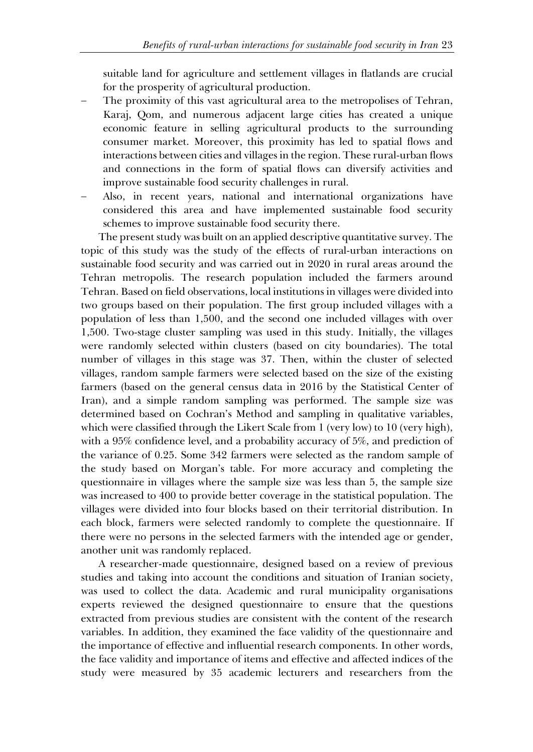suitable land for agriculture and settlement villages in flatlands are crucial for the prosperity of agricultural production.

- The proximity of this vast agricultural area to the metropolises of Tehran, Karaj, Qom, and numerous adjacent large cities has created a unique economic feature in selling agricultural products to the surrounding consumer market. Moreover, this proximity has led to spatial flows and interactions between cities and villages in the region. These rural-urban flows and connections in the form of spatial flows can diversify activities and improve sustainable food security challenges in rural.
- Also, in recent years, national and international organizations have considered this area and have implemented sustainable food security schemes to improve sustainable food security there.

The present study was built on an applied descriptive quantitative survey. The topic of this study was the study of the effects of rural-urban interactions on sustainable food security and was carried out in 2020 in rural areas around the Tehran metropolis. The research population included the farmers around Tehran. Based on field observations, local institutions in villages were divided into two groups based on their population. The first group included villages with a population of less than 1,500, and the second one included villages with over 1,500. Two-stage cluster sampling was used in this study. Initially, the villages were randomly selected within clusters (based on city boundaries). The total number of villages in this stage was 37. Then, within the cluster of selected villages, random sample farmers were selected based on the size of the existing farmers (based on the general census data in 2016 by the Statistical Center of Iran), and a simple random sampling was performed. The sample size was determined based on Cochran's Method and sampling in qualitative variables, which were classified through the Likert Scale from 1 (very low) to 10 (very high), with a 95% confidence level, and a probability accuracy of 5%, and prediction of the variance of 0.25. Some 342 farmers were selected as the random sample of the study based on Morgan's table. For more accuracy and completing the questionnaire in villages where the sample size was less than 5, the sample size was increased to 400 to provide better coverage in the statistical population. The villages were divided into four blocks based on their territorial distribution. In each block, farmers were selected randomly to complete the questionnaire. If there were no persons in the selected farmers with the intended age or gender, another unit was randomly replaced.

A researcher-made questionnaire, designed based on a review of previous studies and taking into account the conditions and situation of Iranian society, was used to collect the data. Academic and rural municipality organisations experts reviewed the designed questionnaire to ensure that the questions extracted from previous studies are consistent with the content of the research variables. In addition, they examined the face validity of the questionnaire and the importance of effective and influential research components. In other words, the face validity and importance of items and effective and affected indices of the study were measured by 35 academic lecturers and researchers from the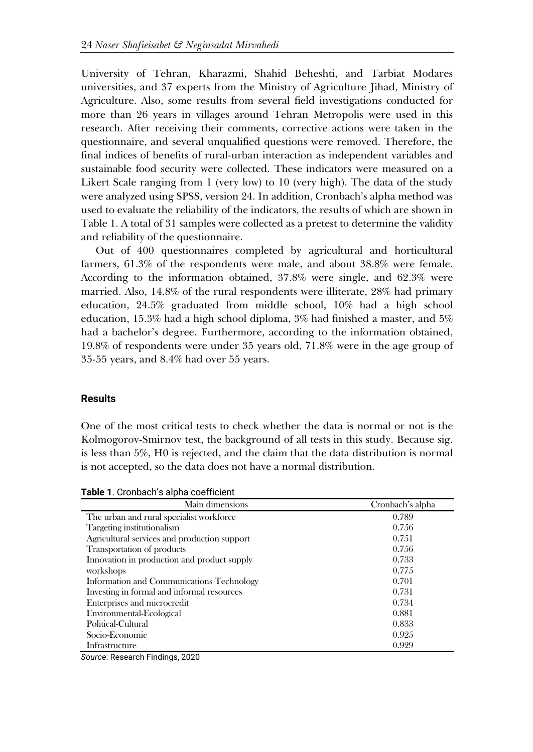University of Tehran, Kharazmi, Shahid Beheshti, and Tarbiat Modares universities, and 37 experts from the Ministry of Agriculture Jihad, Ministry of Agriculture. Also, some results from several field investigations conducted for more than 26 years in villages around Tehran Metropolis were used in this research. After receiving their comments, corrective actions were taken in the questionnaire, and several unqualified questions were removed. Therefore, the final indices of benefits of rural-urban interaction as independent variables and sustainable food security were collected. These indicators were measured on a Likert Scale ranging from 1 (very low) to 10 (very high). The data of the study were analyzed using SPSS, version 24. In addition, Cronbach's alpha method was used to evaluate the reliability of the indicators, the results of which are shown in Table 1. A total of 31 samples were collected as a pretest to determine the validity and reliability of the questionnaire.

Out of 400 questionnaires completed by agricultural and horticultural farmers, 61.3% of the respondents were male, and about 38.8% were female. According to the information obtained, 37.8% were single, and 62.3% were married. Also, 14.8% of the rural respondents were illiterate, 28% had primary education, 24.5% graduated from middle school, 10% had a high school education, 15.3% had a high school diploma, 3% had finished a master, and 5% had a bachelor's degree. Furthermore, according to the information obtained, 19.8% of respondents were under 35 years old, 71.8% were in the age group of 35-55 years, and 8.4% had over 55 years.

## **Results**

One of the most critical tests to check whether the data is normal or not is the Kolmogorov-Smirnov test, the background of all tests in this study. Because sig. is less than 5%, H0 is rejected, and the claim that the data distribution is normal is not accepted, so the data does not have a normal distribution.

**Table 1**. Cronbach's alpha coefficient

| Main dimensions                              | Cronbach's alpha |  |  |
|----------------------------------------------|------------------|--|--|
| The urban and rural specialist workforce     | 0.789            |  |  |
| Targeting institutionalism                   | 0.756            |  |  |
| Agricultural services and production support | 0.751            |  |  |
| Transportation of products                   | 0.756            |  |  |
| Innovation in production and product supply  | 0.733            |  |  |
| workshops                                    | 0.775            |  |  |
| Information and Communications Technology    | 0.701            |  |  |
| Investing in formal and informal resources   | 0.731            |  |  |
| Enterprises and microcredit                  | 0.734            |  |  |
| Environmental-Ecological                     | 0.881            |  |  |
| Political-Cultural                           | 0.833            |  |  |
| Socio-Economic                               | 0.925            |  |  |
| Infrastructure                               | 0.929            |  |  |

*Source*: Research Findings, 2020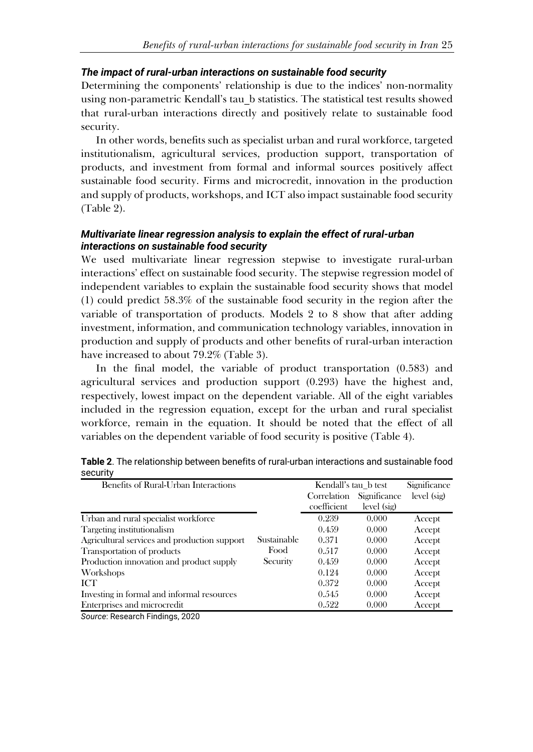# *The impact of rural-urban interactions on sustainable food security*

Determining the components' relationship is due to the indices' non-normality using non-parametric Kendall's tau\_b statistics. The statistical test results showed that rural-urban interactions directly and positively relate to sustainable food security.

In other words, benefits such as specialist urban and rural workforce, targeted institutionalism, agricultural services, production support, transportation of products, and investment from formal and informal sources positively affect sustainable food security. Firms and microcredit, innovation in the production and supply of products, workshops, and ICT also impact sustainable food security (Table 2).

# *Multivariate linear regression analysis to explain the effect of rural-urban interactions on sustainable food security*

We used multivariate linear regression stepwise to investigate rural-urban interactions' effect on sustainable food security. The stepwise regression model of independent variables to explain the sustainable food security shows that model (1) could predict 58.3% of the sustainable food security in the region after the variable of transportation of products. Models 2 to 8 show that after adding investment, information, and communication technology variables, innovation in production and supply of products and other benefits of rural-urban interaction have increased to about 79.2% (Table 3).

In the final model, the variable of product transportation (0.583) and agricultural services and production support (0.293) have the highest and, respectively, lowest impact on the dependent variable. All of the eight variables included in the regression equation, except for the urban and rural specialist workforce, remain in the equation. It should be noted that the effect of all variables on the dependent variable of food security is positive (Table 4).

| Benefits of Rural-Urban Interactions         |             | Kendall's tau b test |              | Significance |
|----------------------------------------------|-------------|----------------------|--------------|--------------|
|                                              |             | Correlation          | Significance | level (sig)  |
|                                              |             | coefficient          | level (sig)  |              |
| Urban and rural specialist workforce         |             | 0.239                | 0.000        | Accept       |
| Targeting institutionalism                   |             | 0.459                | 0.000        | Accept       |
| Agricultural services and production support | Sustainable | 0.371                | 0.000        | Accept       |
| Transportation of products                   | Food        | 0.517                | 0.000        | Accept       |
| Production innovation and product supply     | Security    | 0.459                | 0.000        | Accept       |
| Workshops                                    |             | 0.124                | 0.000        | Accept       |
| ICT                                          |             | 0.372                | 0.000        | Accept       |
| Investing in formal and informal resources   |             | 0.545                | 0.000        | Accept       |
| Enterprises and microcredit                  |             | 0.522                | 0.000        | Accept       |

**Table 2**. The relationship between benefits of rural-urban interactions and sustainable food security

*Source*: Research Findings, 2020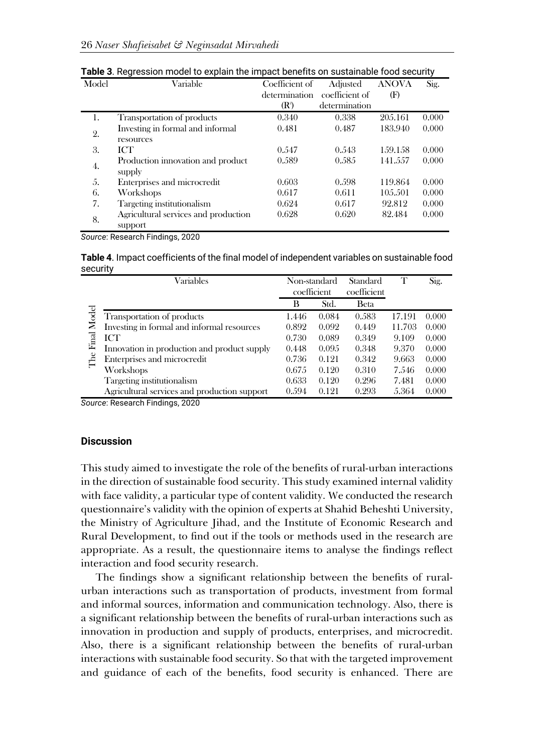| Model | Variable                                    | Coefficient of | Adjusted       | <b>ANOVA</b> | Sig.  |
|-------|---------------------------------------------|----------------|----------------|--------------|-------|
|       |                                             | determination  | coefficient of | (F)          |       |
|       |                                             | $(R^2)$        | determination  |              |       |
| 1.    | Transportation of products                  | 0.340          | 0.338          | 205.161      | 0.000 |
| 2.    | Investing in formal and informal            | 0.481          | 0.487          | 183,940      | 0.000 |
|       | resources                                   |                |                |              |       |
| 3.    | ICT                                         | 0.547          | 0.543          | 159.158      | 0.000 |
| 4.    | Production innovation and product<br>supply | 0.589          | 0.585          | 141.557      | 0.000 |
| .5.   | Enterprises and microcredit                 | 0.603          | 0.598          | 119.864      | 0.000 |
| 6.    | Workshops                                   | 0.617          | 0.611          | 10.5.501     | 0.000 |
| 7.    | Targeting institutionalism                  | 0.624          | 0.617          | 92.812       | 0.000 |
| 8.    | Agricultural services and production        | 0.628          | 0.620          | 82.484       | 0.000 |
|       | support                                     |                |                |              |       |

**Table 3**. Regression model to explain the impact benefits on sustainable food security

*Source*: Research Findings, 2020

**Table 4**. Impact coefficients of the final model of independent variables on sustainable food security

|       | Variables                                    | Non-standard |       | Standard    |        | Sig.  |
|-------|----------------------------------------------|--------------|-------|-------------|--------|-------|
|       |                                              | coefficient  |       | coefficient |        |       |
|       |                                              | В            | Std.  | <b>Beta</b> |        |       |
| Model | Transportation of products                   | 1.446        | 0.084 | 0.583       | 17.191 | 0.000 |
|       | Investing in formal and informal resources   | 0.892        | 0.092 | 0.449       | 11.703 | 0.000 |
| Final | ICT                                          | 0.730        | 0.089 | 0.349       | 9.109  | 0.000 |
|       | Innovation in production and product supply  | 0.448        | 0.095 | 0.348       | 9.370  | 0.000 |
|       | Enterprises and microcredit                  | 0.736        | 0.121 | 0.342       | 9.663  | 0.000 |
|       | Workshops                                    | 0.675        | 0.120 | 0.310       | 7.546  | 0.000 |
|       | Targeting institutionalism                   | 0.633        | 0.120 | 0.296       | 7.481  | 0.000 |
|       | Agricultural services and production support | 0.594        | 0.191 | 0.993       | 5.364  | 0.000 |

*Source*: Research Findings, 2020

## **Discussion**

This study aimed to investigate the role of the benefits of rural-urban interactions in the direction of sustainable food security. This study examined internal validity with face validity, a particular type of content validity. We conducted the research questionnaire's validity with the opinion of experts at Shahid Beheshti University, the Ministry of Agriculture Jihad, and the Institute of Economic Research and Rural Development, to find out if the tools or methods used in the research are appropriate. As a result, the questionnaire items to analyse the findings reflect interaction and food security research.

The findings show a significant relationship between the benefits of ruralurban interactions such as transportation of products, investment from formal and informal sources, information and communication technology. Also, there is a significant relationship between the benefits of rural-urban interactions such as innovation in production and supply of products, enterprises, and microcredit. Also, there is a significant relationship between the benefits of rural-urban interactions with sustainable food security. So that with the targeted improvement and guidance of each of the benefits, food security is enhanced. There are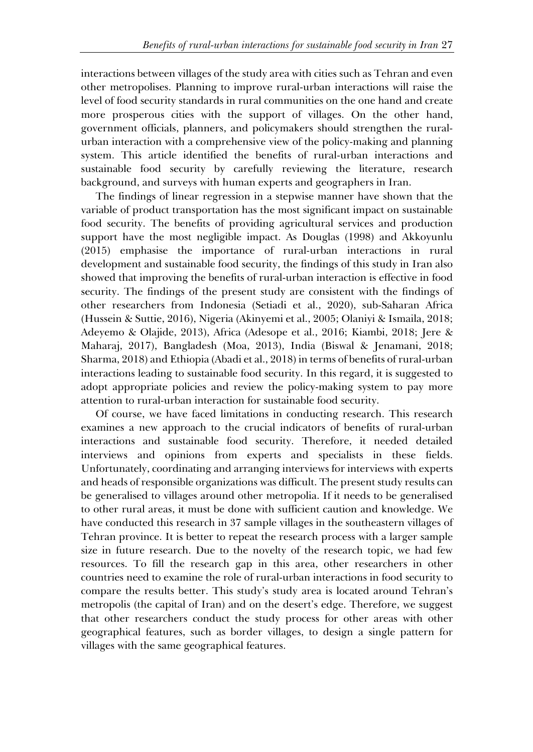interactions between villages of the study area with cities such as Tehran and even other metropolises. Planning to improve rural-urban interactions will raise the level of food security standards in rural communities on the one hand and create more prosperous cities with the support of villages. On the other hand, government officials, planners, and policymakers should strengthen the ruralurban interaction with a comprehensive view of the policy-making and planning system. This article identified the benefits of rural-urban interactions and sustainable food security by carefully reviewing the literature, research background, and surveys with human experts and geographers in Iran.

The findings of linear regression in a stepwise manner have shown that the variable of product transportation has the most significant impact on sustainable food security. The benefits of providing agricultural services and production support have the most negligible impact. As Douglas (1998) and Akkoyunlu (2015) emphasise the importance of rural-urban interactions in rural development and sustainable food security, the findings of this study in Iran also showed that improving the benefits of rural-urban interaction is effective in food security. The findings of the present study are consistent with the findings of other researchers from Indonesia (Setiadi et al., 2020), sub-Saharan Africa (Hussein & Suttie, 2016), Nigeria (Akinyemi et al., 2005; Olaniyi & Ismaila, 2018; Adeyemo & Olajide, 2013), Africa (Adesope et al., 2016; Kiambi, 2018; Jere & Maharaj, 2017), Bangladesh (Moa, 2013), India (Biswal & Jenamani, 2018; Sharma, 2018) and Ethiopia (Abadi et al., 2018) in terms of benefits of rural-urban interactions leading to sustainable food security. In this regard, it is suggested to adopt appropriate policies and review the policy-making system to pay more attention to rural-urban interaction for sustainable food security.

Of course, we have faced limitations in conducting research. This research examines a new approach to the crucial indicators of benefits of rural-urban interactions and sustainable food security. Therefore, it needed detailed interviews and opinions from experts and specialists in these fields. Unfortunately, coordinating and arranging interviews for interviews with experts and heads of responsible organizations was difficult. The present study results can be generalised to villages around other metropolia. If it needs to be generalised to other rural areas, it must be done with sufficient caution and knowledge. We have conducted this research in 37 sample villages in the southeastern villages of Tehran province. It is better to repeat the research process with a larger sample size in future research. Due to the novelty of the research topic, we had few resources. To fill the research gap in this area, other researchers in other countries need to examine the role of rural-urban interactions in food security to compare the results better. This study's study area is located around Tehran's metropolis (the capital of Iran) and on the desert's edge. Therefore, we suggest that other researchers conduct the study process for other areas with other geographical features, such as border villages, to design a single pattern for villages with the same geographical features.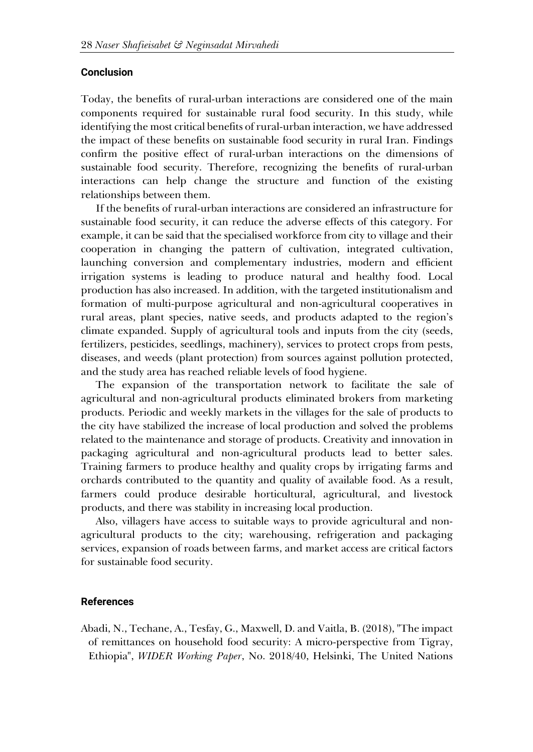#### **Conclusion**

Today, the benefits of rural-urban interactions are considered one of the main components required for sustainable rural food security. In this study, while identifying the most critical benefits of rural-urban interaction, we have addressed the impact of these benefits on sustainable food security in rural Iran. Findings confirm the positive effect of rural-urban interactions on the dimensions of sustainable food security. Therefore, recognizing the benefits of rural-urban interactions can help change the structure and function of the existing relationships between them.

If the benefits of rural-urban interactions are considered an infrastructure for sustainable food security, it can reduce the adverse effects of this category. For example, it can be said that the specialised workforce from city to village and their cooperation in changing the pattern of cultivation, integrated cultivation, launching conversion and complementary industries, modern and efficient irrigation systems is leading to produce natural and healthy food. Local production has also increased. In addition, with the targeted institutionalism and formation of multi-purpose agricultural and non-agricultural cooperatives in rural areas, plant species, native seeds, and products adapted to the region's climate expanded. Supply of agricultural tools and inputs from the city (seeds, fertilizers, pesticides, seedlings, machinery), services to protect crops from pests, diseases, and weeds (plant protection) from sources against pollution protected, and the study area has reached reliable levels of food hygiene.

The expansion of the transportation network to facilitate the sale of agricultural and non-agricultural products eliminated brokers from marketing products. Periodic and weekly markets in the villages for the sale of products to the city have stabilized the increase of local production and solved the problems related to the maintenance and storage of products. Creativity and innovation in packaging agricultural and non-agricultural products lead to better sales. Training farmers to produce healthy and quality crops by irrigating farms and orchards contributed to the quantity and quality of available food. As a result, farmers could produce desirable horticultural, agricultural, and livestock products, and there was stability in increasing local production.

Also, villagers have access to suitable ways to provide agricultural and nonagricultural products to the city; warehousing, refrigeration and packaging services, expansion of roads between farms, and market access are critical factors for sustainable food security.

## **References**

Abadi, N., Techane, A., Tesfay, G., Maxwell, D. and Vaitla, B. (2018), "The impact of remittances on household food security: A micro-perspective from Tigray, Ethiopia", *WIDER Working Paper*, No. 2018/40, Helsinki, The United Nations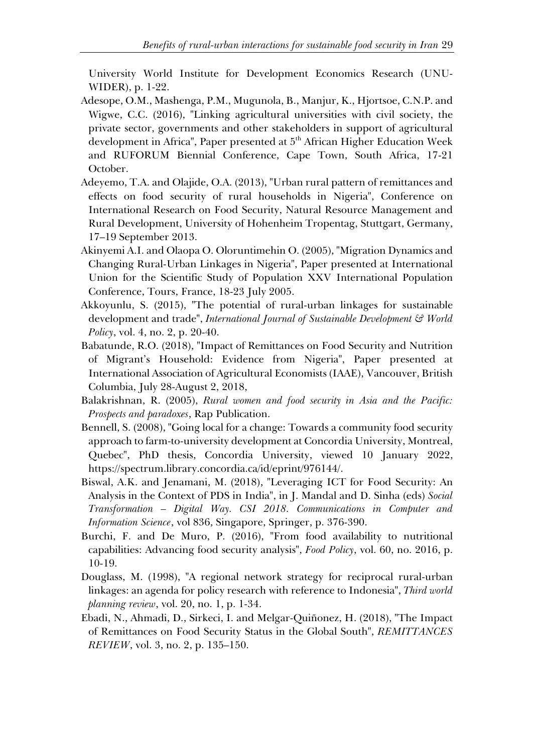University World Institute for Development Economics Research (UNU-WIDER), p. 1-22.

- Adesope, O.M., Mashenga, P.M., Mugunola, B., Manjur, K., Hjortsoe, C.N.P. and Wigwe, C.C. (2016), "Linking agricultural universities with civil society, the private sector, governments and other stakeholders in support of agricultural development in Africa", Paper presented at 5<sup>th</sup> African Higher Education Week and RUFORUM Biennial Conference, Cape Town, South Africa, 17-21 October.
- Adeyemo, T.A. and Olajide, O.A. (2013), "Urban rural pattern of remittances and effects on food security of rural households in Nigeria", Conference on International Research on Food Security, Natural Resource Management and Rural Development, University of Hohenheim Tropentag, Stuttgart, Germany, 17–19 September 2013.
- Akinyemi A.I. and Olaopa O. Oloruntimehin O. (2005), "Migration Dynamics and Changing Rural-Urban Linkages in Nigeria", Paper presented at International Union for the Scientific Study of Population XXV International Population Conference, Tours, France, 18-23 July 2005.
- Akkoyunlu, S. (2015), "The potential of rural-urban linkages for sustainable development and trade", *International Journal of Sustainable Development & World Policy*, vol. 4, no. 2, p. 20-40.
- Babatunde, R.O. (2018), "Impact of Remittances on Food Security and Nutrition of Migrant's Household: Evidence from Nigeria", Paper presented at International Association of Agricultural Economists (IAAE), Vancouver, British Columbia, July 28-August 2, 2018,
- Balakrishnan, R. (2005), *Rural women and food security in Asia and the Pacific: Prospects and paradoxes*, Rap Publication.
- Bennell, S. (2008), "Going local for a change: Towards a community food security approach to farm-to-university development at Concordia University, Montreal, Quebec", PhD thesis, Concordia University, viewed 10 January 2022, https://spectrum.library.concordia.ca/id/eprint/976144/.
- Biswal, A.K. and Jenamani, M. (2018), "Leveraging ICT for Food Security: An Analysis in the Context of PDS in India", in J. Mandal and D. Sinha (eds) *Social Transformation – Digital Way. CSI 2018. Communications in Computer and Information Science*, vol 836, Singapore, Springer, p. 376-390.
- Burchi, F. and De Muro, P. (2016), "From food availability to nutritional capabilities: Advancing food security analysis", *Food Policy*, vol. 60, no. 2016, p. 10-19.
- Douglass, M. (1998), "A regional network strategy for reciprocal rural-urban linkages: an agenda for policy research with reference to Indonesia", *Third world planning review*, vol. 20, no. 1, p. 1-34.
- Ebadi, N., Ahmadi, D., Sirkeci, I. and Melgar-Quiñonez, H. (2018), "The Impact of Remittances on Food Security Status in the Global South", *REMITTANCES REVIEW*, vol. 3, no. 2, p. 135–150.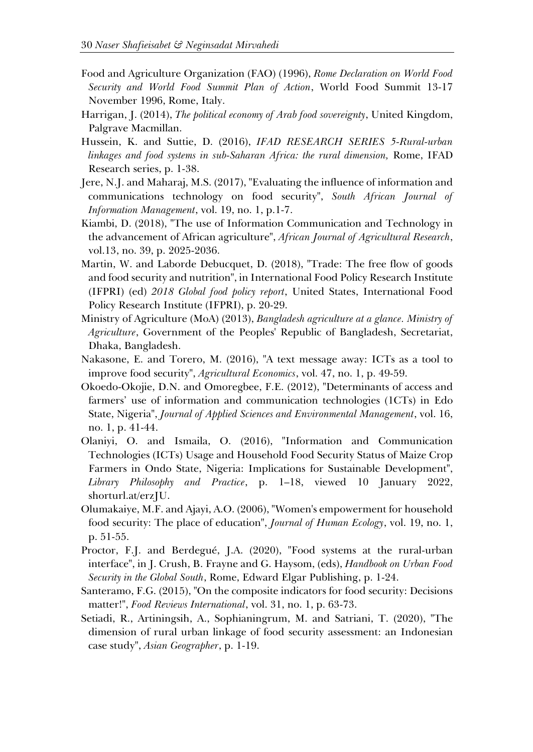- Food and Agriculture Organization (FAO) (1996), *Rome Declaration on World Food Security and World Food Summit Plan of Action*, World Food Summit 13-17 November 1996, Rome, Italy.
- Harrigan, J. (2014), *The political economy of Arab food sovereignty*, United Kingdom, Palgrave Macmillan.
- Hussein, K. and Suttie, D. (2016), *IFAD RESEARCH SERIES 5-Rural-urban linkages and food systems in sub-Saharan Africa: the rural dimension,* Rome, IFAD Research series, p. 1-38.
- Jere, N.J. and Maharaj, M.S. (2017), "Evaluating the influence of information and communications technology on food security", *South African Journal of Information Management*, vol. 19, no. 1, p.1-7.
- Kiambi, D. (2018), "The use of Information Communication and Technology in the advancement of African agriculture", *African Journal of Agricultural Research*, vol.13, no. 39, p. 2025-2036.
- Martin, W. and Laborde Debucquet, D. (2018), "Trade: The free flow of goods and food security and nutrition", in International Food Policy Research Institute (IFPRI) (ed) *2018 Global food policy report*, United States, International Food Policy Research Institute (IFPRI), p. 20-29.
- Ministry of Agriculture (MoA) (2013), *Bangladesh agriculture at a glance. Ministry of Agriculture*, Government of the Peoples' Republic of Bangladesh, Secretariat, Dhaka, Bangladesh.
- Nakasone, E. and Torero, M. (2016), "A text message away: ICTs as a tool to improve food security", *Agricultural Economics*, vol. 47, no. 1, p. 49-59.
- Okoedo-Okojie, D.N. and Omoregbee, F.E. (2012), "Determinants of access and farmers' use of information and communication technologies (1CTs) in Edo State, Nigeria", *Journal of Applied Sciences and Environmental Management*, vol. 16, no. 1, p. 41-44.
- Olaniyi, O. and Ismaila, O. (2016), "Information and Communication Technologies (ICTs) Usage and Household Food Security Status of Maize Crop Farmers in Ondo State, Nigeria: Implications for Sustainable Development", *Library Philosophy and Practice*, p. 1–18, viewed 10 January 2022, shorturl.at/erzJU.
- Olumakaiye, M.F. and Ajayi, A.O. (2006), "Women's empowerment for household food security: The place of education", *Journal of Human Ecology*, vol. 19, no. 1, p. 51-55.
- Proctor, F.J. and Berdegué, J.A. (2020), "Food systems at the rural-urban interface", in J. Crush, B. Frayne and G. Haysom, (eds), *Handbook on Urban Food Security in the Global South*, Rome, Edward Elgar Publishing, p. 1-24.
- Santeramo, F.G. (2015), "On the composite indicators for food security: Decisions matter!", *Food Reviews International*, vol. 31, no. 1, p. 63-73.
- Setiadi, R., Artiningsih, A., Sophianingrum, M. and Satriani, T. (2020), "The dimension of rural urban linkage of food security assessment: an Indonesian case study", *Asian Geographer*, p. 1-19.